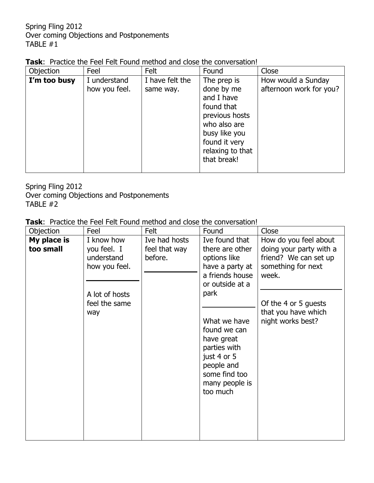| <b>Task:</b> Practice the Feel Felt Found method and close the conversation! |
|------------------------------------------------------------------------------|
|------------------------------------------------------------------------------|

| Objection    | Feel                          | Felt                         | Found                                                                                   | Close                                         |
|--------------|-------------------------------|------------------------------|-----------------------------------------------------------------------------------------|-----------------------------------------------|
| I'm too busy | I understand<br>how you feel. | I have felt the<br>same way. | The prep is<br>done by me<br>and I have<br>found that<br>previous hosts<br>who also are | How would a Sunday<br>afternoon work for you? |
|              |                               |                              | busy like you<br>found it very<br>relaxing to that<br>that break!                       |                                               |

Spring Fling 2012 Over coming Objections and Postponements TABLE #2

| Objection                | Feel                                                                                               | Felt                                      | Found                                                                                                                                                                                                                                                        | Close                                                                                                                                                                        |
|--------------------------|----------------------------------------------------------------------------------------------------|-------------------------------------------|--------------------------------------------------------------------------------------------------------------------------------------------------------------------------------------------------------------------------------------------------------------|------------------------------------------------------------------------------------------------------------------------------------------------------------------------------|
| My place is<br>too small | I know how<br>you feel. I<br>understand<br>how you feel.<br>A lot of hosts<br>feel the same<br>way | Ive had hosts<br>feel that way<br>before. | Ive found that<br>there are other<br>options like<br>have a party at<br>a friends house<br>or outside at a<br>park<br>What we have<br>found we can<br>have great<br>parties with<br>just 4 or 5<br>people and<br>some find too<br>many people is<br>too much | How do you feel about<br>doing your party with a<br>friend? We can set up<br>something for next<br>week.<br>Of the 4 or 5 guests<br>that you have which<br>night works best? |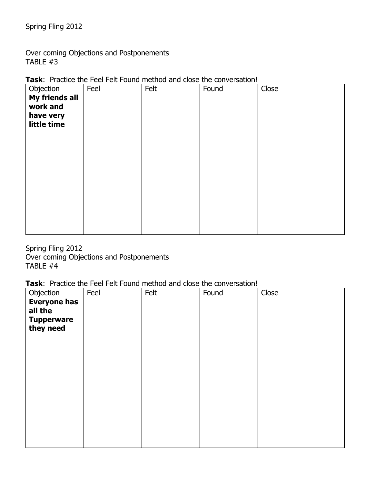Over coming Objections and Postponements TABLE #3

| Objection                                              | Feel | Felt | Found | Close |
|--------------------------------------------------------|------|------|-------|-------|
| My friends all<br>work and<br>have very<br>little time |      |      |       |       |
|                                                        |      |      |       |       |

Task: Practice the Feel Felt Found method and close the conversation!

Spring Fling 2012 Over coming Objections and Postponements TABLE #4

| Objection                      | Feel | Felt | Found | Close |
|--------------------------------|------|------|-------|-------|
| <b>Everyone has</b><br>all the |      |      |       |       |
| <b>Tupperware</b><br>they need |      |      |       |       |
|                                |      |      |       |       |
|                                |      |      |       |       |
|                                |      |      |       |       |
|                                |      |      |       |       |
|                                |      |      |       |       |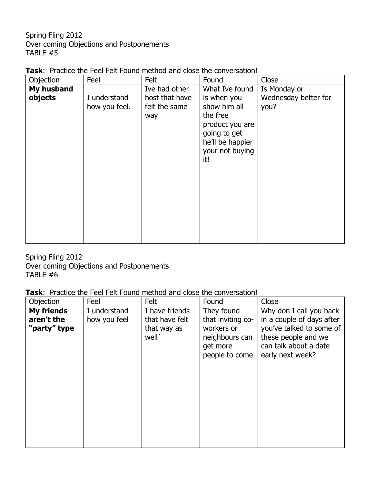| <b>Task:</b> Practice the Feel Felt Found method and close the conversation! |  |  |
|------------------------------------------------------------------------------|--|--|
|                                                                              |  |  |

| Objection             | Feel                          | Felt                                                    | Found                                                                                                                                      | Close                                        |
|-----------------------|-------------------------------|---------------------------------------------------------|--------------------------------------------------------------------------------------------------------------------------------------------|----------------------------------------------|
| My husband<br>objects | I understand<br>how you feel. | Ive had other<br>host that have<br>felt the same<br>way | What Ive found<br>is when you<br>show him all<br>the free<br>product you are<br>going to get<br>he'll be happier<br>your not buying<br>it! | Is Monday or<br>Wednesday better for<br>you? |

Spring Fling 2012 Over coming Objections and Postponements TABLE #6

| Objection                  | Feel         | Felt                                               | Found                                                                           | Close                                                                                                                     |
|----------------------------|--------------|----------------------------------------------------|---------------------------------------------------------------------------------|---------------------------------------------------------------------------------------------------------------------------|
| <b>My friends</b>          | I understand | I have friends                                     | They found                                                                      | Why don I call you back                                                                                                   |
| aren't the<br>"party" type | how you feel | that have felt<br>that way as<br>well <sup>'</sup> | that inviting co-<br>workers or<br>neighbours can<br>get more<br>people to come | in a couple of days after<br>you've talked to some of<br>these people and we<br>can talk about a date<br>early next week? |
|                            |              |                                                    |                                                                                 |                                                                                                                           |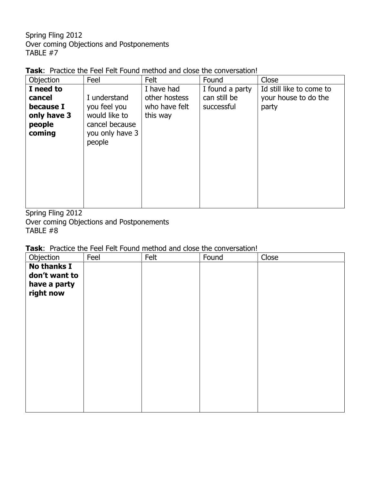| <b>Task:</b> Practice the Feel Felt Found method and close the conversation! |  |  |
|------------------------------------------------------------------------------|--|--|
|                                                                              |  |  |

| Feel         | Felt                                                         | Found                     | Close                    |
|--------------|--------------------------------------------------------------|---------------------------|--------------------------|
|              | I have had                                                   | I found a party           | Id still like to come to |
| I understand | other hostess                                                | can still be              | your house to do the     |
| you feel you |                                                              | successful                | party                    |
|              |                                                              |                           |                          |
|              |                                                              |                           |                          |
|              |                                                              |                           |                          |
|              |                                                              |                           |                          |
|              |                                                              |                           |                          |
|              |                                                              |                           |                          |
|              |                                                              |                           |                          |
|              |                                                              |                           |                          |
|              |                                                              |                           |                          |
|              |                                                              |                           |                          |
|              | would like to<br>cancel because<br>you only have 3<br>people | who have felt<br>this way |                          |

Spring Fling 2012 Over coming Objections and Postponements TABLE #8

| Objection          | Feel | Felt | Found | Close |
|--------------------|------|------|-------|-------|
| <b>No thanks I</b> |      |      |       |       |
| don't want to      |      |      |       |       |
| have a party       |      |      |       |       |
| right now          |      |      |       |       |
|                    |      |      |       |       |
|                    |      |      |       |       |
|                    |      |      |       |       |
|                    |      |      |       |       |
|                    |      |      |       |       |
|                    |      |      |       |       |
|                    |      |      |       |       |
|                    |      |      |       |       |
|                    |      |      |       |       |
|                    |      |      |       |       |
|                    |      |      |       |       |
|                    |      |      |       |       |
|                    |      |      |       |       |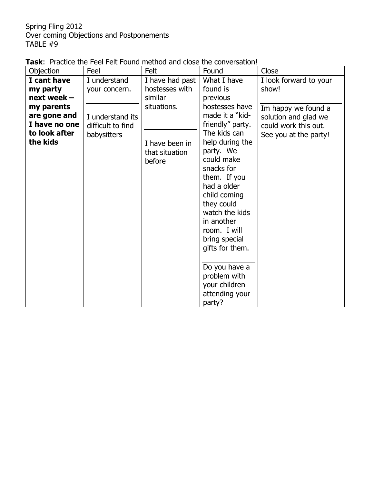| <b>Task:</b> Practice the Feel Felt Found method and close the conversation! |
|------------------------------------------------------------------------------|
|------------------------------------------------------------------------------|

| Objection                                                              | Feel                                              | Felt                                                        | Found                                                                                                                                                                                                                                                                                           | Close                                                                          |
|------------------------------------------------------------------------|---------------------------------------------------|-------------------------------------------------------------|-------------------------------------------------------------------------------------------------------------------------------------------------------------------------------------------------------------------------------------------------------------------------------------------------|--------------------------------------------------------------------------------|
| I cant have<br>my party<br>next week $-$<br>my parents<br>are gone and | I understand<br>your concern.<br>I understand its | I have had past<br>hostesses with<br>similar<br>situations. | What I have<br>found is<br>previous<br>hostesses have<br>made it a "kid-                                                                                                                                                                                                                        | I look forward to your<br>show!<br>Im happy we found a<br>solution and glad we |
| I have no one<br>to look after<br>the kids                             | difficult to find<br>babysitters                  | I have been in<br>that situation<br>before                  | friendly" party.<br>The kids can<br>help during the<br>party. We<br>could make<br>snacks for<br>them. If you<br>had a older<br>child coming<br>they could<br>watch the kids<br>in another<br>room. I will<br>bring special<br>gifts for them.<br>Do you have a<br>problem with<br>your children | could work this out.<br>See you at the party!                                  |
|                                                                        |                                                   |                                                             | attending your<br>party?                                                                                                                                                                                                                                                                        |                                                                                |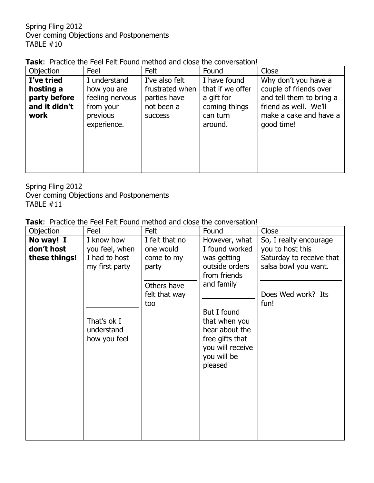| <b>Task:</b> Practice the Feel Felt Found method and close the conversation! |
|------------------------------------------------------------------------------|
|------------------------------------------------------------------------------|

| Objection                                                        | Feel                                                                                   | Felt                                                                              | Found                                                                                  | Close                                                                                                                                       |
|------------------------------------------------------------------|----------------------------------------------------------------------------------------|-----------------------------------------------------------------------------------|----------------------------------------------------------------------------------------|---------------------------------------------------------------------------------------------------------------------------------------------|
| I've tried<br>hosting a<br>party before<br>and it didn't<br>work | I understand<br>how you are<br>feeling nervous<br>from your<br>previous<br>experience. | I've also felt<br>frustrated when<br>parties have<br>not been a<br><b>SUCCESS</b> | I have found<br>that if we offer<br>a gift for<br>coming things<br>can turn<br>around. | Why don't you have a<br>couple of friends over<br>and tell them to bring a<br>friend as well. We'll<br>make a cake and have a<br>good time! |
|                                                                  |                                                                                        |                                                                                   |                                                                                        |                                                                                                                                             |

Spring Fling 2012 Over coming Objections and Postponements TABLE #11

| Objection     | Feel           | Felt           | Found            | Close                    |
|---------------|----------------|----------------|------------------|--------------------------|
| No way! I     | I know how     | I felt that no | However, what    | So, I realty encourage   |
| don't host    | you feel, when | one would      | I found worked   | you to host this         |
| these things! | I had to host  | come to my     | was getting      | Saturday to receive that |
|               | my first party | party          | outside orders   | salsa bowl you want.     |
|               |                |                | from friends     |                          |
|               |                | Others have    | and family       |                          |
|               |                | felt that way  |                  | Does Wed work? Its       |
|               |                | too            |                  | fun!                     |
|               |                |                | But I found      |                          |
|               | That's ok I    |                | that when you    |                          |
|               | understand     |                | hear about the   |                          |
|               | how you feel   |                | free gifts that  |                          |
|               |                |                | you will receive |                          |
|               |                |                | you will be      |                          |
|               |                |                | pleased          |                          |
|               |                |                |                  |                          |
|               |                |                |                  |                          |
|               |                |                |                  |                          |
|               |                |                |                  |                          |
|               |                |                |                  |                          |
|               |                |                |                  |                          |
|               |                |                |                  |                          |